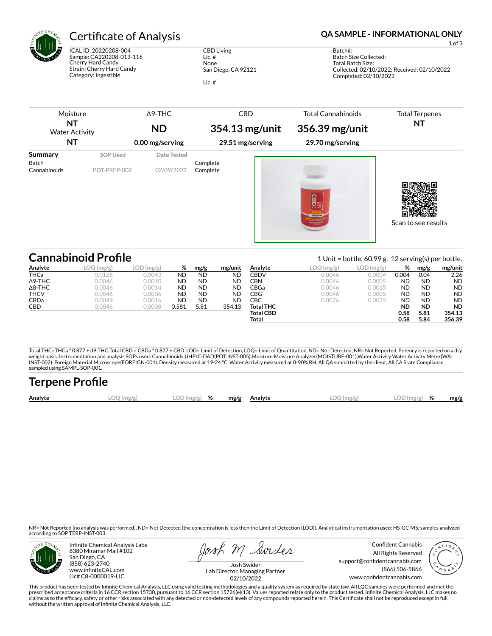

ICAL ID: 20220208-004 Sample: CA220208-013-116 Cherry Hard Candy Strain: Cherry Hard Candy Category: Ingestible

CBD Living Lic. # None San Diego, CA 92121 Lic. #

## Certificate of Analysis **Certificate of Analysis QA SAMPLE - INFORMATIONAL ONLY**

1 of 3

Batch#: Batch Size Collected: Total Batch Size: Collected: 02/10/2022; Received: 02/10/2022 Completed: 02/10/2022

| Moisture<br><b>NT</b><br><b>Water Activity</b><br><b>NT</b> |                          | $\Delta$ 9-THC<br><b>ND</b> | <b>CBD</b><br>354.13 mg/unit | <b>Total Cannabinoids</b><br>356.39 mg/unit                               | <b>Total Terpenes</b><br><b>NT</b> |
|-------------------------------------------------------------|--------------------------|-----------------------------|------------------------------|---------------------------------------------------------------------------|------------------------------------|
|                                                             |                          | 0.00 mg/serving             | 29.51 mg/serving             | 29.70 mg/serving                                                          |                                    |
| Summary<br><b>Batch</b><br>Cannabinoids                     | SOP Used<br>POT-PREP-002 | Date Tested<br>02/09/2022   | Complete<br>Complete         | $CBD^{\frac{1}{2}}_{\frac{1}{2}}$<br>ZERO SUGAR<br><b>200 mg Norma Cl</b> | Scan to see results                |

|                | <b>Cannabinoid Profile</b>                       |              |           |           | 1 Unit = bottle, $60.99$ g. 12 serving(s) per bottle. |                  |           |           |           |           |           |
|----------------|--------------------------------------------------|--------------|-----------|-----------|-------------------------------------------------------|------------------|-----------|-----------|-----------|-----------|-----------|
| Analyte        | LOC<br>$\left(\frac{\text{mg}}{\text{g}}\right)$ | $LOD$ (mg/g) | %         | mg/g      | mg/unit                                               | Analyte          | LOQ(mg/g) | LOD(mg/g) | %         | mg/g      | mg/unit   |
| <b>THCa</b>    | 0.0128                                           | 0.0043       | <b>ND</b> | <b>ND</b> | <b>ND</b>                                             | CBDV             | 0.0046    | 0.0004    | 0.004     | 0.04      | 2.26      |
| $\Delta$ 9-THC | 0.0046                                           | 0.0010       | <b>ND</b> | <b>ND</b> | <b>ND</b>                                             | CBN              | 0.0046    | 0.0005    | <b>ND</b> | <b>ND</b> | <b>ND</b> |
| $\Delta$ 8-THC | 0.0046                                           | 0.0014       | <b>ND</b> | <b>ND</b> | <b>ND</b>                                             | CBGa             | 0.0046    | 0.0015    | <b>ND</b> | <b>ND</b> | <b>ND</b> |
| <b>THCV</b>    | 0.0046                                           | 0.0006       | <b>ND</b> | <b>ND</b> | <b>ND</b>                                             | CBG              | 0.0046    | 0.0005    | <b>ND</b> | <b>ND</b> | <b>ND</b> |
| <b>CBDa</b>    | 0.0049                                           | 0.0016       | <b>ND</b> | <b>ND</b> | <b>ND</b>                                             | CBC              | 0.0076    | 0.0025    | <b>ND</b> | <b>ND</b> | <b>ND</b> |
| <b>CBD</b>     | 0.0046                                           | 0.0008       | 0.581     | 5.81      | 354.13                                                | <b>Total THC</b> |           |           | <b>ND</b> | <b>ND</b> | <b>ND</b> |
|                |                                                  |              |           |           |                                                       | <b>Total CBD</b> |           |           | 0.58      | 5.81      | 354.13    |
|                |                                                  |              |           |           |                                                       | Total            |           |           | 0.58      | 5.84      | 356.39    |

Total THC=THCa \* 0.877 + d9-THC;Total CBD = CBDa \* 0.877 + CBD. LOD= Limit of Detection, LOQ= Limit of Quantitation, ND= Not Detected, NR= Not Reported. Potency is reported on a dry<br>weight basis. Instrumentation and analys INST-002), Foreign Material:Microscope(FOREIGN-001). Density measured at 19-24 °C, Water Activity measured at 0-90% RH. All QA submitted by the client, All CA State Compliance sampled using SAMPL-SOP-001.

| <b>Terpene Profile</b> |            |                                                         |  |            |               |      |
|------------------------|------------|---------------------------------------------------------|--|------------|---------------|------|
| Analyte                | LOO (mg/g) | $\textsf{LOD}\left(\textsf{mg/g}\right)$ % mg/g Analyte |  | LOO (mg/g) | $LOD(mg/g)$ % | mg/g |

NR= Not Reported (no analysis was performed), ND= Not Detected (the concentration is less then the Limit of Detection (LOD)). Analytical instrumentation used: HS-GC-MS; samples analyzed according to SOP TERP-INST-003.



Infinite Chemical Analysis Labs 8380 Miramar Mall #102 San Diego, CA (858) 623-2740 www.infiniteCAL.com Lic# C8-0000019-LIC

Josh M Swider

Confident Cannabis All Rights Reserved support@confidentcannabis.com (866) 506-5866 www.confidentcannabis.com



Josh Swider Lab Director, Managing Partner 02/10/2022

This product has been tested by Infinite Chemical Analysis, LLC using valid testing methodologies and a quality system as required by state law. All LQC samples were performed and met the prescribed acceptance criteria in 16 CCR section 15730, pursuant to 16 CCR section 15726(e)(13). Values reported relate only to the product tested. Infinite Chemical Analysis, LLC makes no<br>claims as to the efficacy, safety without the written approval of Infinite Chemical Analysis, LLC.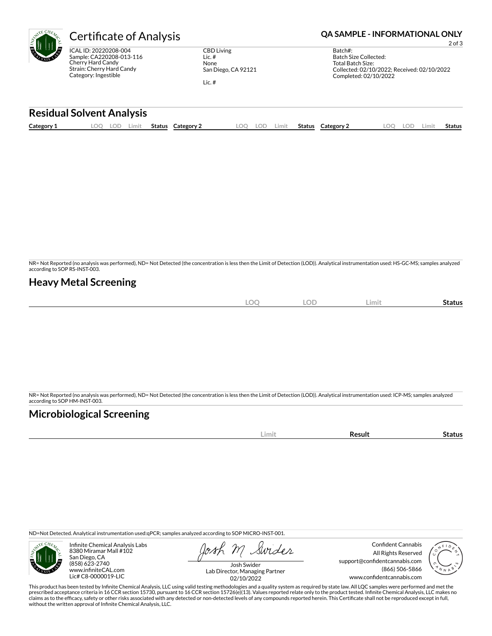

ICAL ID: 20220208-004 Sample: CA220208-013-116 Cherry Hard Candy Strain: Cherry Hard Candy Category: Ingestible

CBD Living Lic. # None San Diego, CA 92121 Lic. #

# **Certificate of Analysis <b>Certificate of Analysis QA SAMPLE - INFORMATIONAL ONLY**

2 of 3

| Batch#:                                     |
|---------------------------------------------|
| Batch Size Collected:                       |
| Total Batch Size:                           |
| Collected: 02/10/2022; Received: 02/10/2022 |
| Completed: 02/10/2022                       |
|                                             |

### **Residual Solvent Analysis**

|  | Category 1 | $\Omega$ | LOD | Limit | <b>Status</b> | Category 2 | OO | LOF | ∟imit | Status | Category 2 | .OO | LOD | Limit | <b>Status</b> |
|--|------------|----------|-----|-------|---------------|------------|----|-----|-------|--------|------------|-----|-----|-------|---------------|
|--|------------|----------|-----|-------|---------------|------------|----|-----|-------|--------|------------|-----|-----|-------|---------------|

NR= Not Reported (no analysis was performed), ND= Not Detected (the concentration is less then the Limit of Detection (LOD)). Analytical instrumentation used: HS-GC-MS; samples analyzed according to SOP RS-INST-003.

## **Heavy Metal Screening**

| <b>LOC</b> | <b>LOD</b> | Limit | -<br>Status |
|------------|------------|-------|-------------|
|            |            |       |             |

NR= Not Reported (no analysis was performed), ND= Not Detected (the concentration is less then the Limit of Detection (LOD)). Analytical instrumentation used: ICP-MS; samples analyzed according to SOP HM-INST-003.

## **Microbiological Screening**

| ----- | . |
|-------|---|
|       |   |

ND=Not Detected. Analytical instrumentation used:qPCR; samples analyzed according to SOP MICRO-INST-001.



Infinite Chemical Analysis Labs 8380 Miramar Mall #102 San Diego, CA (858) 623-2740 www.infiniteCAL.com Lic# C8-0000019-LIC

Swider

Confident Cannabis All Rights Reserved support@confidentcannabis.com (866) 506-5866 www.confidentcannabis.com



Josh Swider Lab Director, Managing Partner 02/10/2022

This product has been tested by Infinite Chemical Analysis, LLC using valid testing methodologies and a quality system as required by state law. All LQC samples were performed and met the prescribed acceptance criteria in 16 CCR section 15730, pursuant to 16 CCR section 15726(e)(13). Values reported relate only to the product tested. Infinite Chemical Analysis, LLC makes no<br>claims as to the efficacy, safety without the written approval of Infinite Chemical Analysis, LLC.